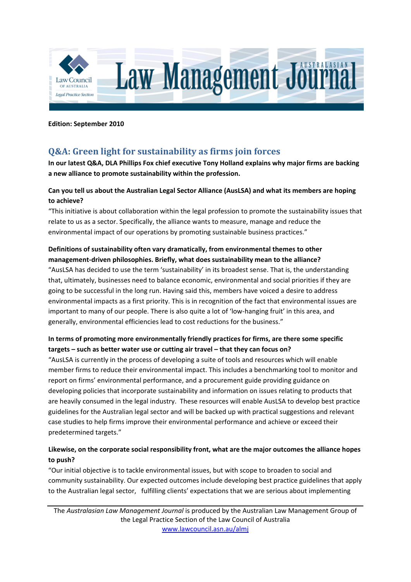

**Edition: September 2010**

# **Q&A: Green light for sustainability as firms join forces**

**In our latest Q&A, DLA Phillips Fox chief executive Tony Holland explains why major firms are backing a new alliance to promote sustainability within the profession.**

## **Can you tell us about the Australian Legal Sector Alliance (AusLSA) and what its members are hoping to achieve?**

"This initiative is about collaboration within the legal profession to promote the sustainability issues that relate to us as a sector. Specifically, the alliance wants to measure, manage and reduce the environmental impact of our operations by promoting sustainable business practices."

# **Definitions of sustainability often vary dramatically, from environmental themes to other management‐driven philosophies. Briefly, what does sustainability mean to the alliance?**

"AusLSA has decided to use the term 'sustainability' in its broadest sense. That is, the understanding that, ultimately, businesses need to balance economic, environmental and social priorities if they are going to be successful in the long run. Having said this, members have voiced a desire to address environmental impacts as a first priority. This is in recognition of the fact that environmental issues are important to many of our people. There is also quite a lot of 'low‐hanging fruit' in this area, and generally, environmental efficiencies lead to cost reductions for the business."

# **In terms of promoting more environmentally friendly practices for firms, are there some specific targets – such as better water use or cutting air travel – that they can focus on?**

"AusLSA is currently in the process of developing a suite of tools and resources which will enable member firms to reduce their environmental impact. This includes a benchmarking tool to monitor and report on firms' environmental performance, and a procurement guide providing guidance on developing policies that incorporate sustainability and information on issues relating to products that are heavily consumed in the legal industry. These resources will enable AusLSA to develop best practice guidelines for the Australian legal sector and will be backed up with practical suggestions and relevant case studies to help firms improve their environmental performance and achieve or exceed their predetermined targets."

# **Likewise, on the corporate social responsibility front, what are the major outcomes the alliance hopes to push?**

"Our initial objective is to tackle environmental issues, but with scope to broaden to social and community sustainability. Our expected outcomes include developing best practice guidelines that apply to the Australian legal sector, fulfilling clients' expectations that we are serious about implementing

The *Australasian Law Management Journal* is produced by the Australian Law Management Group of the Legal Practice Section of the Law Council of Australia www.lawcouncil.asn.au/almj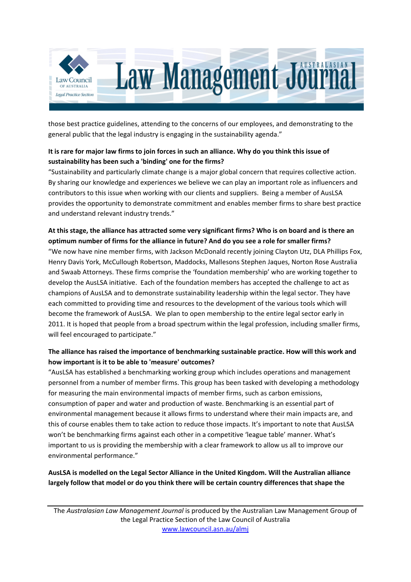

those best practice guidelines, attending to the concerns of our employees, and demonstrating to the general public that the legal industry is engaging in the sustainability agenda."

## It is rare for major law firms to join forces in such an alliance. Why do you think this issue of **sustainability has been such a 'binding' one for the firms?**

"Sustainability and particularly climate change is a major global concern that requires collective action. By sharing our knowledge and experiences we believe we can play an important role as influencers and contributors to this issue when working with our clients and suppliers. Being a member of AusLSA provides the opportunity to demonstrate commitment and enables member firms to share best practice and understand relevant industry trends."

# At this stage, the alliance has attracted some very significant firms? Who is on board and is there an **optimum number of firms for the alliance in future? And do you see a role for smaller firms?**

"We now have nine member firms, with Jackson McDonald recently joining Clayton Utz, DLA Phillips Fox, Henry Davis York, McCullough Robertson, Maddocks, Mallesons Stephen Jaques, Norton Rose Australia and Swaab Attorneys. These firms comprise the 'foundation membership' who are working together to develop the AusLSA initiative. Each of the foundation members has accepted the challenge to act as champions of AusLSA and to demonstrate sustainability leadership within the legal sector. They have each committed to providing time and resources to the development of the various tools which will become the framework of AusLSA. We plan to open membership to the entire legal sector early in 2011. It is hoped that people from a broad spectrum within the legal profession, including smaller firms, will feel encouraged to participate."

### **The alliance has raised the importance of benchmarking sustainable practice. How will this work and how important is it to be able to 'measure' outcomes?**

"AusLSA has established a benchmarking working group which includes operations and management personnel from a number of member firms. This group has been tasked with developing a methodology for measuring the main environmental impacts of member firms, such as carbon emissions, consumption of paper and water and production of waste. Benchmarking is an essential part of environmental management because it allows firms to understand where their main impacts are, and this of course enables them to take action to reduce those impacts. It's important to note that AusLSA won't be benchmarking firms against each other in a competitive 'league table' manner. What's important to us is providing the membership with a clear framework to allow us all to improve our environmental performance."

### **AusLSA is modelled on the Legal Sector Alliance in the United Kingdom. Will the Australian alliance largely follow that model or do you think there will be certain country differences that shape the**

The *Australasian Law Management Journal* is produced by the Australian Law Management Group of the Legal Practice Section of the Law Council of Australia www.lawcouncil.asn.au/almj